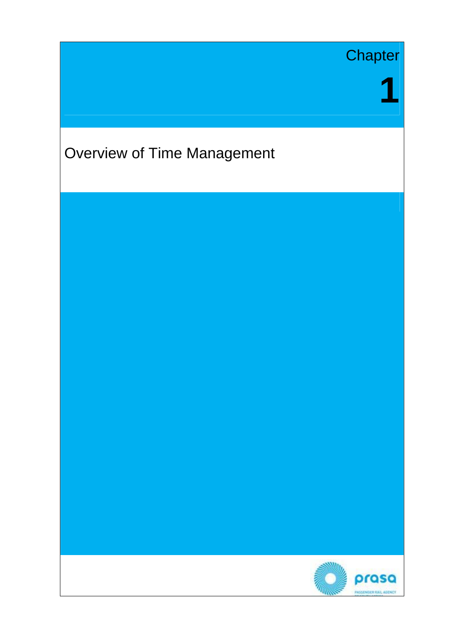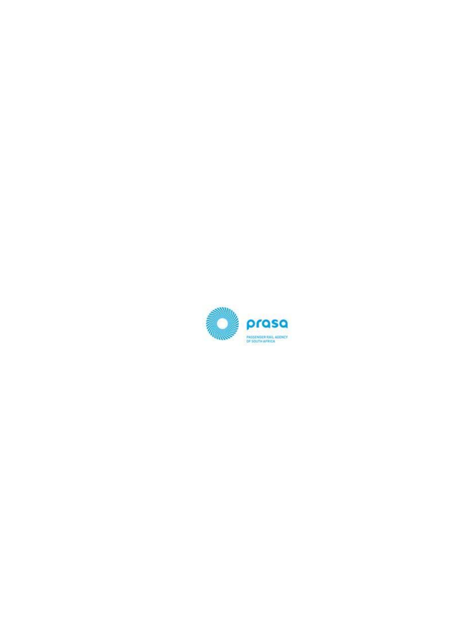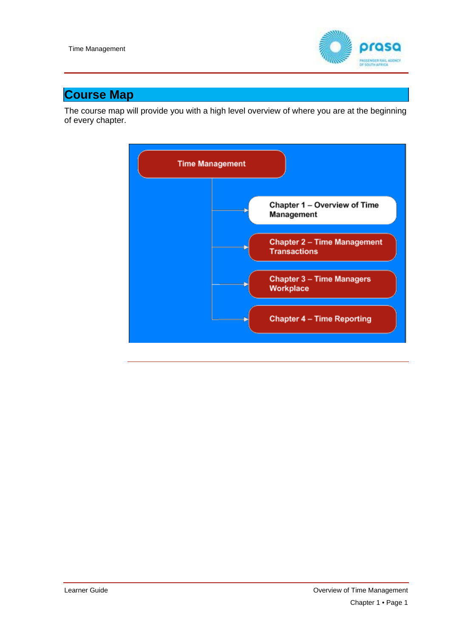

# **Course Map**

The course map will provide you with a high level overview of where you are at the beginning of every chapter.

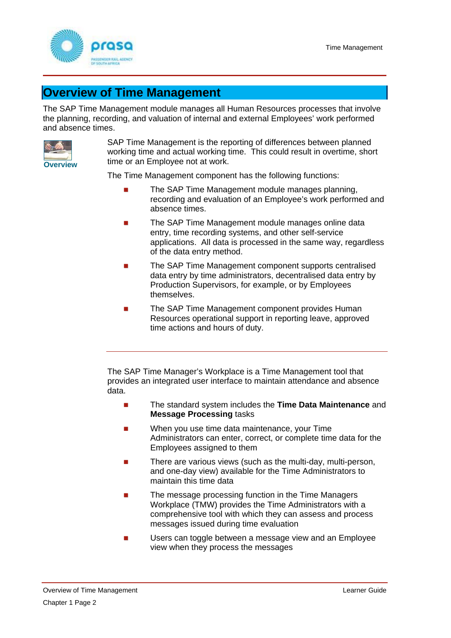

## **Overview of Time Management**

The SAP Time Management module manages all Human Resources processes that involve the planning, recording, and valuation of internal and external Employees' work performed and absence times.



SAP Time Management is the reporting of differences between planned working time and actual working time. This could result in overtime, short **Overview** time or an Employee not at work.

The Time Management component has the following functions:

- The SAP Time Management module manages planning, recording and evaluation of an Employee's work performed and absence times.
- The SAP Time Management module manages online data entry, time recording systems, and other self-service applications. All data is processed in the same way, regardless of the data entry method.
- The SAP Time Management component supports centralised data entry by time administrators, decentralised data entry by Production Supervisors, for example, or by Employees themselves.
- The SAP Time Management component provides Human Resources operational support in reporting leave, approved time actions and hours of duty.

The SAP Time Manager's Workplace is a Time Management tool that provides an integrated user interface to maintain attendance and absence data.

- The standard system includes the **Time Data Maintenance** and **Message Processing** tasks
- When you use time data maintenance, your Time Administrators can enter, correct, or complete time data for the Employees assigned to them
- There are various views (such as the multi-day, multi-person, and one-day view) available for the Time Administrators to maintain this time data
- The message processing function in the Time Managers Workplace (TMW) provides the Time Administrators with a comprehensive tool with which they can assess and process messages issued during time evaluation
- Users can toggle between a message view and an Employee view when they process the messages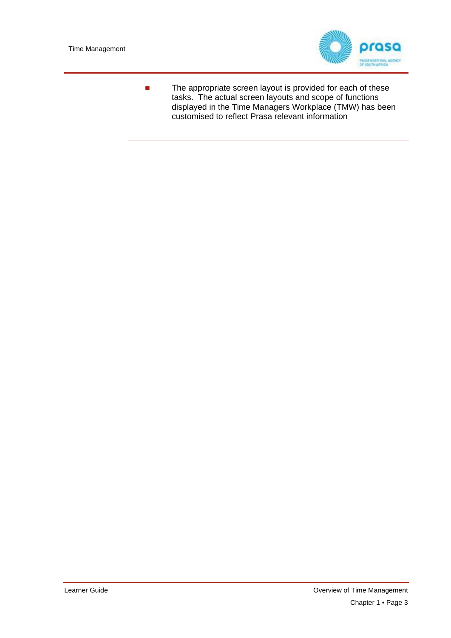

**The appropriate screen layout is provided for each of these** tasks. The actual screen layouts and scope of functions displayed in the Time Managers Workplace (TMW) has been customised to reflect Prasa relevant information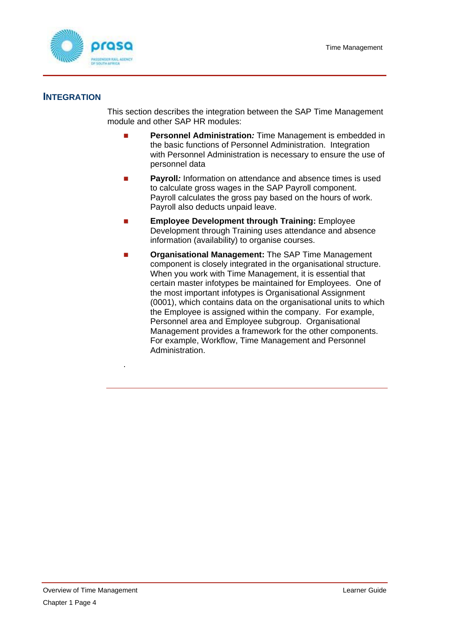

#### **INTEGRATION**

This section describes the integration between the SAP Time Management module and other SAP HR modules:

- **Personnel Administration***:* Time Management is embedded in the basic functions of Personnel Administration. Integration with Personnel Administration is necessary to ensure the use of personnel data
- **Payroll**: Information on attendance and absence times is used to calculate gross wages in the SAP Payroll component. Payroll calculates the gross pay based on the hours of work. Payroll also deducts unpaid leave.
- **Employee Development through Training: Employee** Development through Training uses attendance and absence information (availability) to organise courses.
- **EXECTE 20 ATTLE 20 ATTLE 20 ATTLE 20 ATTLE 20 ATTLE 20 ATTLE 20 ATTLE 20 ATTLE 20 ATTLE 20 ATTLE 20 ATTLE 20 ATTLE 20 ATTLE 20 ATTLE 20 ATTLE 20 ATTLE 20 ATTLE 20 ATTLE 20 ATTLE 20 ATTLE 20 ATTLE 20 ATTLE 20 ATTLE 20 ATTL** component is closely integrated in the organisational structure. When you work with Time Management, it is essential that certain master infotypes be maintained for Employees. One of the most important infotypes is Organisational Assignment (0001), which contains data on the organisational units to which the Employee is assigned within the company. For example, Personnel area and Employee subgroup. Organisational Management provides a framework for the other components. For example, Workflow, Time Management and Personnel Administration.

.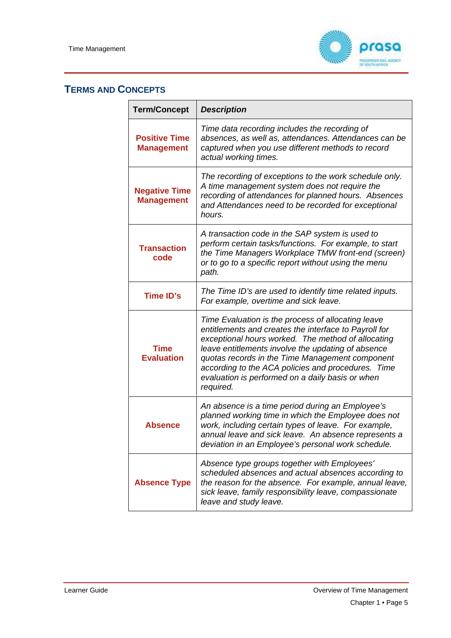

## **TERMS AND CONCEPTS**

| <b>Term/Concept</b>                       | <b>Description</b>                                                                                                                                                                                                                                                                                                                                                                                |
|-------------------------------------------|---------------------------------------------------------------------------------------------------------------------------------------------------------------------------------------------------------------------------------------------------------------------------------------------------------------------------------------------------------------------------------------------------|
| <b>Positive Time</b><br><b>Management</b> | Time data recording includes the recording of<br>absences, as well as, attendances. Attendances can be<br>captured when you use different methods to record<br>actual working times.                                                                                                                                                                                                              |
| <b>Negative Time</b><br><b>Management</b> | The recording of exceptions to the work schedule only.<br>A time management system does not require the<br>recording of attendances for planned hours. Absences<br>and Attendances need to be recorded for exceptional<br>hours.                                                                                                                                                                  |
| <b>Transaction</b><br>code                | A transaction code in the SAP system is used to<br>perform certain tasks/functions. For example, to start<br>the Time Managers Workplace TMW front-end (screen)<br>or to go to a specific report without using the menu<br>path.                                                                                                                                                                  |
| Time ID's                                 | The Time ID's are used to identify time related inputs.<br>For example, overtime and sick leave.                                                                                                                                                                                                                                                                                                  |
| <b>Time</b><br><b>Evaluation</b>          | Time Evaluation is the process of allocating leave<br>entitlements and creates the interface to Payroll for<br>exceptional hours worked. The method of allocating<br>leave entitlements involve the updating of absence<br>quotas records in the Time Management component<br>according to the ACA policies and procedures. Time<br>evaluation is performed on a daily basis or when<br>required. |
| <b>Absence</b>                            | An absence is a time period during an Employee's<br>planned working time in which the Employee does not<br>work, including certain types of leave. For example,<br>annual leave and sick leave. An absence represents a<br>deviation in an Employee's personal work schedule.                                                                                                                     |
| <b>Absence Type</b>                       | Absence type groups together with Employees'<br>scheduled absences and actual absences according to<br>the reason for the absence. For example, annual leave,<br>sick leave, family responsibility leave, compassionate<br>leave and study leave.                                                                                                                                                 |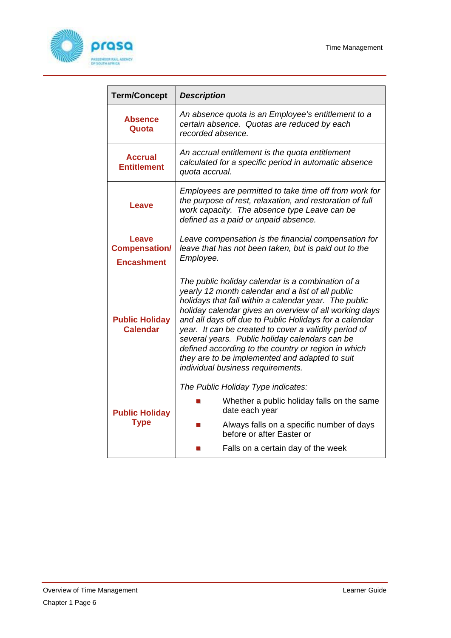

| <b>Term/Concept</b>                                | <b>Description</b>                                                                                                                                                                                                                                                                                                                                                                                                                                                                                                                           |
|----------------------------------------------------|----------------------------------------------------------------------------------------------------------------------------------------------------------------------------------------------------------------------------------------------------------------------------------------------------------------------------------------------------------------------------------------------------------------------------------------------------------------------------------------------------------------------------------------------|
| <b>Absence</b><br>Quota                            | An absence quota is an Employee's entitlement to a<br>certain absence. Quotas are reduced by each<br>recorded absence.                                                                                                                                                                                                                                                                                                                                                                                                                       |
| <b>Accrual</b><br><b>Entitlement</b>               | An accrual entitlement is the quota entitlement<br>calculated for a specific period in automatic absence<br>quota accrual.                                                                                                                                                                                                                                                                                                                                                                                                                   |
| Leave                                              | Employees are permitted to take time off from work for<br>the purpose of rest, relaxation, and restoration of full<br>work capacity. The absence type Leave can be<br>defined as a paid or unpaid absence.                                                                                                                                                                                                                                                                                                                                   |
| Leave<br><b>Compensation/</b><br><b>Encashment</b> | Leave compensation is the financial compensation for<br>leave that has not been taken, but is paid out to the<br>Employee.                                                                                                                                                                                                                                                                                                                                                                                                                   |
| <b>Public Holiday</b><br><b>Calendar</b>           | The public holiday calendar is a combination of a<br>yearly 12 month calendar and a list of all public<br>holidays that fall within a calendar year. The public<br>holiday calendar gives an overview of all working days<br>and all days off due to Public Holidays for a calendar<br>year. It can be created to cover a validity period of<br>several years. Public holiday calendars can be<br>defined according to the country or region in which<br>they are to be implemented and adapted to suit<br>individual business requirements. |
| <b>Public Holiday</b><br><b>Type</b>               | The Public Holiday Type indicates:<br>Whether a public holiday falls on the same<br>date each year<br>Always falls on a specific number of days<br>before or after Easter or<br>Falls on a certain day of the week                                                                                                                                                                                                                                                                                                                           |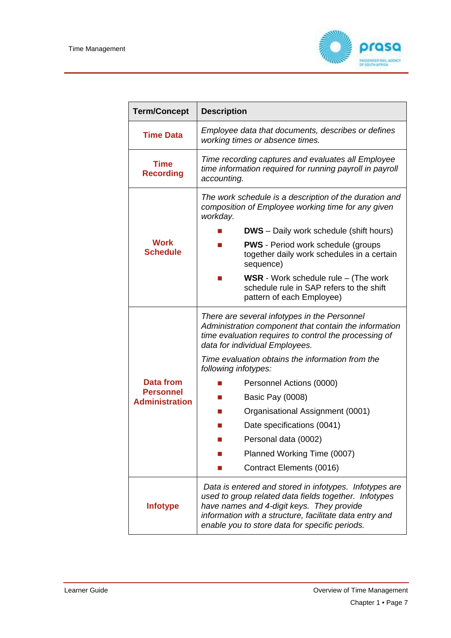

| <b>Term/Concept</b>                       | <b>Description</b>                                                                                                                                                                                                                                                        |
|-------------------------------------------|---------------------------------------------------------------------------------------------------------------------------------------------------------------------------------------------------------------------------------------------------------------------------|
| <b>Time Data</b>                          | Employee data that documents, describes or defines<br>working times or absence times.                                                                                                                                                                                     |
| <b>Time</b><br><b>Recording</b>           | Time recording captures and evaluates all Employee<br>time information required for running payroll in payroll<br>accounting.                                                                                                                                             |
|                                           | The work schedule is a description of the duration and<br>composition of Employee working time for any given<br>workday.                                                                                                                                                  |
|                                           | <b>DWS</b> – Daily work schedule (shift hours)                                                                                                                                                                                                                            |
| <b>Work</b><br><b>Schedule</b>            | <b>PWS</b> - Period work schedule (groups<br>together daily work schedules in a certain<br>sequence)                                                                                                                                                                      |
|                                           | <b>WSR</b> - Work schedule rule $-$ (The work<br>schedule rule in SAP refers to the shift<br>pattern of each Employee)                                                                                                                                                    |
|                                           | There are several infotypes in the Personnel<br>Administration component that contain the information<br>time evaluation requires to control the processing of<br>data for individual Employees.                                                                          |
|                                           | Time evaluation obtains the information from the<br>following infotypes:                                                                                                                                                                                                  |
| <b>Data from</b>                          | Personnel Actions (0000)                                                                                                                                                                                                                                                  |
| <b>Personnel</b><br><b>Administration</b> | <b>Basic Pay (0008)</b>                                                                                                                                                                                                                                                   |
|                                           | Organisational Assignment (0001)                                                                                                                                                                                                                                          |
|                                           | Date specifications (0041)<br>ш                                                                                                                                                                                                                                           |
|                                           | Personal data (0002)                                                                                                                                                                                                                                                      |
|                                           | Planned Working Time (0007)                                                                                                                                                                                                                                               |
|                                           | Contract Elements (0016)                                                                                                                                                                                                                                                  |
| <b>Infotype</b>                           | Data is entered and stored in infotypes. Infotypes are<br>used to group related data fields together. Infotypes<br>have names and 4-digit keys. They provide<br>information with a structure, facilitate data entry and<br>enable you to store data for specific periods. |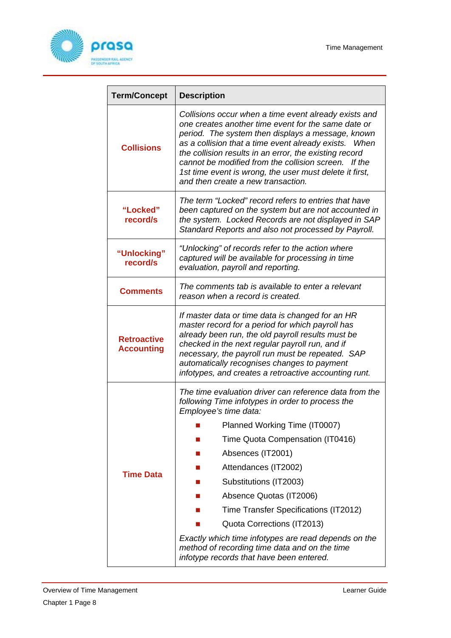

| <b>Term/Concept</b>                     | <b>Description</b>                                                                                                                                                                                                                                                                                                                                                                                                                            |
|-----------------------------------------|-----------------------------------------------------------------------------------------------------------------------------------------------------------------------------------------------------------------------------------------------------------------------------------------------------------------------------------------------------------------------------------------------------------------------------------------------|
| <b>Collisions</b>                       | Collisions occur when a time event already exists and<br>one creates another time event for the same date or<br>period. The system then displays a message, known<br>as a collision that a time event already exists. When<br>the collision results in an error, the existing record<br>cannot be modified from the collision screen. If the<br>1st time event is wrong, the user must delete it first,<br>and then create a new transaction. |
| "Locked"<br>record/s                    | The term "Locked" record refers to entries that have<br>been captured on the system but are not accounted in<br>the system. Locked Records are not displayed in SAP<br>Standard Reports and also not processed by Payroll.                                                                                                                                                                                                                    |
| "Unlocking"<br>record/s                 | "Unlocking" of records refer to the action where<br>captured will be available for processing in time<br>evaluation, payroll and reporting.                                                                                                                                                                                                                                                                                                   |
| <b>Comments</b>                         | The comments tab is available to enter a relevant<br>reason when a record is created.                                                                                                                                                                                                                                                                                                                                                         |
| <b>Retroactive</b><br><b>Accounting</b> | If master data or time data is changed for an HR<br>master record for a period for which payroll has<br>already been run, the old payroll results must be<br>checked in the next regular payroll run, and if<br>necessary, the payroll run must be repeated. SAP<br>automatically recognises changes to payment<br>infotypes, and creates a retroactive accounting runt.                                                                      |
|                                         | The time evaluation driver can reference data from the<br>following Time infotypes in order to process the<br>Employee's time data:                                                                                                                                                                                                                                                                                                           |
|                                         | Planned Working Time (IT0007)<br>ш                                                                                                                                                                                                                                                                                                                                                                                                            |
|                                         | Time Quota Compensation (IT0416)                                                                                                                                                                                                                                                                                                                                                                                                              |
|                                         | Absences (IT2001)                                                                                                                                                                                                                                                                                                                                                                                                                             |
| <b>Time Data</b>                        | Attendances (IT2002)                                                                                                                                                                                                                                                                                                                                                                                                                          |
|                                         | Substitutions (IT2003)                                                                                                                                                                                                                                                                                                                                                                                                                        |
|                                         | Absence Quotas (IT2006)                                                                                                                                                                                                                                                                                                                                                                                                                       |
|                                         | Time Transfer Specifications (IT2012)                                                                                                                                                                                                                                                                                                                                                                                                         |
|                                         | Quota Corrections (IT2013)                                                                                                                                                                                                                                                                                                                                                                                                                    |
|                                         | Exactly which time infotypes are read depends on the<br>method of recording time data and on the time<br>infotype records that have been entered.                                                                                                                                                                                                                                                                                             |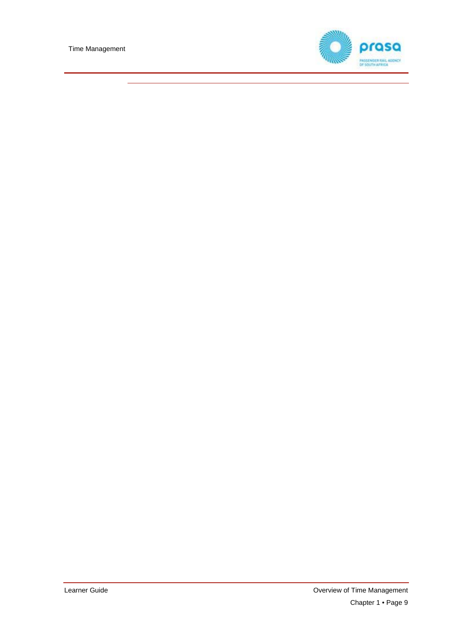Time Management

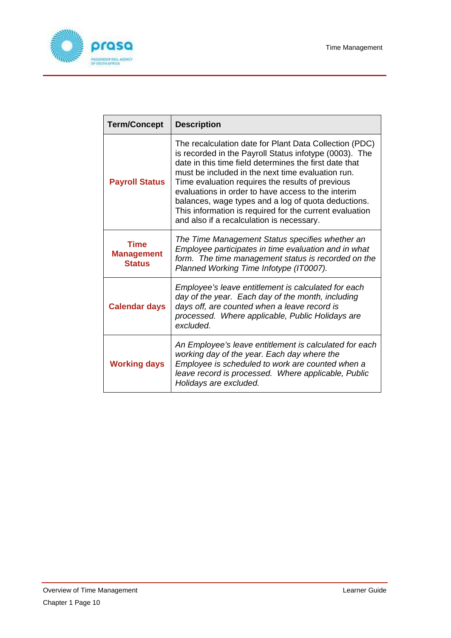

| <b>Term/Concept</b>                               | <b>Description</b>                                                                                                                                                                                                                                                                                                                                                                                                                                                                                       |
|---------------------------------------------------|----------------------------------------------------------------------------------------------------------------------------------------------------------------------------------------------------------------------------------------------------------------------------------------------------------------------------------------------------------------------------------------------------------------------------------------------------------------------------------------------------------|
| <b>Payroll Status</b>                             | The recalculation date for Plant Data Collection (PDC)<br>is recorded in the Payroll Status infotype (0003). The<br>date in this time field determines the first date that<br>must be included in the next time evaluation run.<br>Time evaluation requires the results of previous<br>evaluations in order to have access to the interim<br>balances, wage types and a log of quota deductions.<br>This information is required for the current evaluation<br>and also if a recalculation is necessary. |
| <b>Time</b><br><b>Management</b><br><b>Status</b> | The Time Management Status specifies whether an<br>Employee participates in time evaluation and in what<br>form. The time management status is recorded on the<br>Planned Working Time Infotype (IT0007).                                                                                                                                                                                                                                                                                                |
| <b>Calendar days</b>                              | Employee's leave entitlement is calculated for each<br>day of the year. Each day of the month, including<br>days off, are counted when a leave record is<br>processed. Where applicable, Public Holidays are<br>excluded.                                                                                                                                                                                                                                                                                |
| <b>Working days</b>                               | An Employee's leave entitlement is calculated for each<br>working day of the year. Each day where the<br>Employee is scheduled to work are counted when a<br>leave record is processed. Where applicable, Public<br>Holidays are excluded.                                                                                                                                                                                                                                                               |